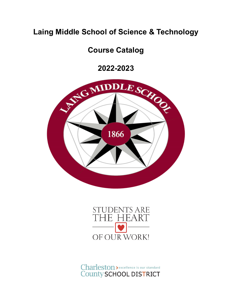## **Laing Middle School of Science & Technology**

## **Course Catalog**

**2022-2023**





Charleston > excellence is our standard **County SCHOOL DISTRICT**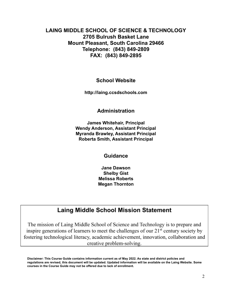## **LAING MIDDLE SCHOOL OF SCIENCE & TECHNOLOGY 2705 Bulrush Basket Lane Mount Pleasant, South Carolina 29466 Telephone: (843) 849-2809 FAX: (843) 849-2895**

## **School Website**

**http://laing.ccsdschools.com**

## **Administration**

**James Whitehair, Principal Wendy Anderson, Assistant Principal Myranda Brawley, Assistant Principal Roberta Smith, Assistant Principal**

#### **Guidance**

**Jane Dawson Shelby Gist Melissa Roberts Megan Thornton**

## **Laing Middle School Mission Statement**

The mission of Laing Middle School of Science and Technology is to prepare and inspire generations of learners to meet the challenges of our 21<sup>st</sup> century society by fostering technological literacy, academic achievement, innovation, collaboration and creative problem-solving.

Disclaimer: This Course Guide contains information current as of May 2022. As state and district policies and regulations are revised, this document will be updated. Updated information will be available on the Laing Website. Some **courses in the Course Guide may not be offered due to lack of enrollment.**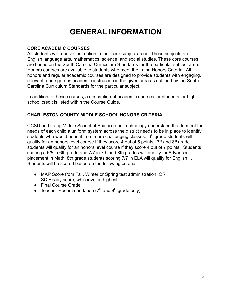# **GENERAL INFORMATION**

## **CORE ACADEMIC COURSES**

All students will receive instruction in four core subject areas. These subjects are English language arts, mathematics, science, and social studies. These core courses are based on the South Carolina Curriculum Standards for the particular subject area. Honors courses are available to students who meet the Laing Honors Criteria. All honors and regular academic courses are designed to provide students with engaging, relevant, and rigorous academic instruction in the given area as outlined by the South Carolina Curriculum Standards for the particular subject.

In addition to these courses, a description of academic courses for students for high school credit is listed within the Course Guide.

## **CHARLESTON COUNTY MIDDLE SCHOOL HONORS CRITERIA**

CCSD and Laing Middle School of Science and Technology understand that to meet the needs of each child a uniform system across the district needs to be in place to identify students who would benefit from more challenging classes.  $6<sup>th</sup>$  grade students will qualify for an honors level course if they score 4 out of 5 points.  $7<sup>th</sup>$  and  $8<sup>th</sup>$  grade students will qualify for an honors level course if they score 4 out of 7 points. Students scoring a 5/5 in 6th grade and 7/7 in 7th and 8th grades will qualify for Advanced placement in Math. 8th grade students scoring 7/7 in ELA will qualify for English 1. Students will be scored based on the following criteria:

- MAP Score from Fall, Winter or Spring test administration OR SC Ready score, whichever is highest
- Final Course Grade
- Teacher Recommendation  $(7<sup>th</sup>$  and  $8<sup>th</sup>$  grade only)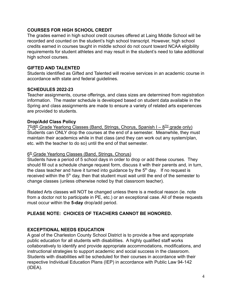## **COURSES FOR HIGH SCHOOL CREDIT**

The grades earned in high school credit courses offered at Laing Middle School will be recorded and counted on the student's high school transcript. However, high school credits earned in courses taught in middle school do not count toward NCAA eligibility requirements for student athletes and may result in the student's need to take additional high school courses.

## **GIFTED AND TALENTED**

Students identified as Gifted and Talented will receive services in an academic course in accordance with state and federal guidelines.

#### **SCHEDULES 2022-23**

Teacher assignments, course offerings, and class sizes are determined from registration information. The master schedule is developed based on student data available in the Spring and class assignments are made to ensure a variety of related arts experiences are provided to students.

#### **Drop/Add Class Policy**

<u>7<sup>th</sup>/8<sup>th</sup> Grade Yearlong Classes (Band, Strings, Chorus, Spanish I – 8<sup>™</sup> grade only)</u> Students can ONLY drop the courses at the end of a semester. Meanwhile, they must maintain their academics while in that class (and they can work out any system/plan, etc. with the teacher to do so) until the end of that semester.

#### 6<sup>th</sup> Grade Yearlong Classes (Band, Strings, Chorus)

Students have a period of 5 school days in order to drop or add these courses. They should fill out a schedule change request form, discuss it with their parents and, in turn, the class teacher and have it turned into guidance by the  $5<sup>th</sup>$  day. If no request is received within the  $5<sup>th</sup>$  day, then that student must wait until the end of the semester to change classes (unless otherwise noted by that classroom teacher).

Related Arts classes will NOT be changed unless there is a medical reason (ie. note from a doctor not to participate in PE, etc.) or an exceptional case. All of these requests must occur within the **5-day** drop/add period.

## **PLEASE NOTE: CHOICES OF TEACHERS CANNOT BE HONORED.**

## **EXCEPTIONAL NEEDS EDUCATION**

A goal of the Charleston County School District is to provide a free and appropriate public education for all students with disabilities. A highly qualified staff works collaboratively to identify and provide appropriate accommodations, modifications, and instructional strategies to support academic and social success in the classroom. Students with disabilities will be scheduled for their courses in accordance with their respective Individual Education Plans (IEP) in accordance with Public Law 94-142 (IDEA).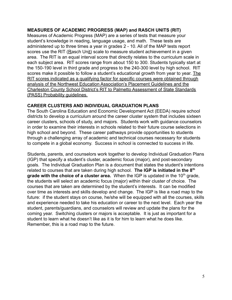#### **MEASURES OF ACADEMIC PROGRESS (MAP) and RASCH UNITS (RIT)**

Measures of Academic Progress (MAP) are a series of tests that measure your student's knowledge in reading, language usage, and math. These tests are administered up to three times a year in grades 2 - 10. All of the MAP tests report scores use the RIT (Rasch Unit) scale to measure student achievement in a given area. The RIT is an equal interval score that directly relates to the curriculum scale in each subject area. RIT scores range from about 150 to 300. Students typically start at the 150-190 level in third grade and progress to the 240-300 level by high school. RIT scores make it possible to follow a student's educational growth from year to year. The RIT scores indicated as a qualifying factor for specific courses were obtained through analysis of the Northwest Education Association's Placement Guidelines and the Charleston County School District's RIT to Palmetto Assessment of State Standards (PASS) Probability guidelines.

#### **CAREER CLUSTERS AND INDIVIDUAL GRADUATION PLANS**

The South Carolina Education and Economic Development Act (EEDA) require school districts to develop a curriculum around the career cluster system that includes sixteen career clusters, schools of study, and majors. Students work with guidance counselors in order to examine their interests in schools related to their future course selections in high school and beyond. These career pathways provide opportunities to students through a challenging array of academic and technical courses necessary for students to compete in a global economy. Success in school is connected to success in life.

Students, parents, and counselors work together to develop Individual Graduation Plans (IGP) that specify a student's cluster, academic focus (major), and post-secondary goals. The Individual Graduation Plan is a document that states the student's intentions related to courses that are taken during high school. **The IGP is initiated in the 8th grade with the choice of a cluster area.** When the IGP is updated in the 10<sup>th</sup> grade, the students will select an academic focus (major) within their cluster of choice. The courses that are taken are determined by the student's interests. It can be modified over time as interests and skills develop and change. The IGP is like a road map to the future: if the student stays on course, he/she will be equipped with all the courses, skills and experience needed to take his education or career to the next level. Each year the student, parents/guardians, and counselors will review and update the plans for the coming year. Switching clusters or majors is acceptable. It is just as important for a student to learn what he doesn't like as it is for him to learn what he does like. Remember, this is a road map to the future.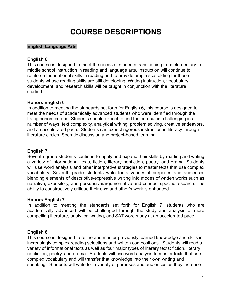# **COURSE DESCRIPTIONS**

## **English Language Arts**

## **English 6**

This course is designed to meet the needs of students transitioning from elementary to middle school instruction in reading and language arts. Instruction will continue to reinforce foundational skills in reading and to provide ample scaffolding for those students whose reading skills are still developing. Writing instruction, vocabulary development, and research skills will be taught in conjunction with the literature studied.

## **Honors English 6**

In addition to meeting the standards set forth for English 6, this course is designed to meet the needs of academically advanced students who were identified through the Laing honors criteria. Students should expect to find the curriculum challenging in a number of ways: text complexity, analytical writing, problem solving, creative endeavors, and an accelerated pace. Students can expect rigorous instruction in literacy through literature circles, Socratic discussion and project-based learning.

## **English 7**

Seventh grade students continue to apply and expand their skills by reading and writing a variety of informational texts, fiction, literary nonfiction, poetry, and drama. Students will use word analysis and other interpretive strategies to master texts that use complex vocabulary. Seventh grade students write for a variety of purposes and audiences blending elements of descriptive/expressive writing into modes of written works such as narrative, expository, and persuasive/argumentative and conduct specific research. The ability to constructively critique their own and other's work is enhanced.

## **Honors English 7**

In addition to meeting the standards set forth for English 7, students who are academically advanced will be challenged through the study and analysis of more compelling literature, analytical writing, and SAT word study at an accelerated pace.

## **English 8**

This course is designed to refine and master previously learned knowledge and skills in increasingly complex reading selections and written compositions. Students will read a variety of informational texts as well as four major types of literary texts: fiction, literary nonfiction, poetry, and drama. Students will use word analysis to master texts that use complex vocabulary and will transfer that knowledge into their own writing and speaking. Students will write for a variety of purposes and audiences as they increase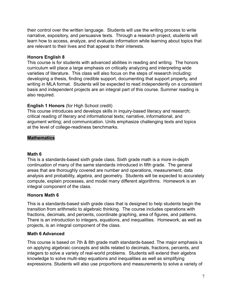their control over the written language. Students will use the writing process to write narrative, expository, and persuasive texts. Through a research project, students will learn how to access, analyze, and evaluate information while learning about topics that are relevant to their lives and that appeal to their interests.

## **Honors English 8**

This course is for students with advanced abilities in reading and writing. The honors curriculum will place a large emphasis on critically analyzing and interpreting wide varieties of literature. This class will also focus on the steps of research including: developing a thesis, finding credible support, documenting that support properly, and writing in MLA format. Students will be expected to read independently on a consistent basis and independent projects are an integral part of this course. Summer reading is also required.

## **English 1 Honors** (for High School credit)

This course introduces and develops skills in inquiry-based literacy and research; critical reading of literary and informational texts; narrative, informational, and argument writing; and communication. Units emphasize challenging texts and topics at the level of college-readiness benchmarks.

## **Mathematics**

#### **Math 6**

This is a standards-based sixth grade class. Sixth grade math is a more in-depth continuation of many of the same standards introduced in fifth grade. The general areas that are thoroughly covered are number and operations, measurement, data analysis and probability, algebra, and geometry. Students will be expected to accurately compute, explain processes, and model many different algorithms. Homework is an integral component of the class.

## **Honors Math 6**

This is a standards-based sixth grade class that is designed to help students begin the transition from arithmetic to algebraic thinking. The course includes operations with fractions, decimals, and percents, coordinate graphing, area of figures, and patterns. There is an introduction to integers, equations, and inequalities. Homework, as well as projects, is an integral component of the class.

## **Math 6 Advanced**

This course is based on 7th & 8th grade math standards-based. The major emphasis is on applying algebraic concepts and skills related to decimals, fractions, percents, and integers to solve a variety of real-world problems. Students will extend their algebra knowledge to solve multi-step equations and inequalities as well as simplifying expressions. Students will also use proportions and measurements to solve a variety of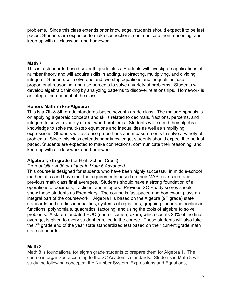problems. Since this class extends prior knowledge, students should expect it to be fast paced. Students are expected to make connections, communicate their reasoning, and keep up with all classwork and homework.

#### **Math 7**

This is a standards-based seventh grade class. Students will investigate applications of number theory and will acquire skills in adding, subtracting, multiplying, and dividing integers. Students will solve one and two step equations and inequalities, use proportional reasoning, and use percents to solve a variety of problems. Students will develop algebraic thinking by analyzing patterns to discover relationships. Homework is an integral component of the class.

#### **Honors Math 7 (Pre-Algebra)**

This is a 7th & 8th grade standards-based seventh grade class. The major emphasis is on applying algebraic concepts and skills related to decimals, fractions, percents, and integers to solve a variety of real-world problems. Students will extend their algebra knowledge to solve multi-step equations and inequalities as well as simplifying expressions. Students will also use proportions and measurements to solve a variety of problems. Since this class extends prior knowledge, students should expect it to be fast paced. Students are expected to make connections, communicate their reasoning, and keep up with all classwork and homework.

## **Algebra I, 7th grade (**for High School Credit**)**

#### *Prerequisite: A 90 or higher in Math 6 Advanced*

This course is designed for students who have been highly successful in middle-school mathematics and have met the requirements based on their MAP test scores and previous math class final averages. Students should have a strong foundation of all operations of decimals, fractions, and integers. Previous SC Ready scores should show these students as Exemplary. The course is fast-paced and homework plays an integral part of the coursework. Algebra I is based on the Algebra  $(9<sup>th</sup>$  grade) state standards and studies inequalities, systems of equations, graphing linear and nonlinear functions, polynomials, quadratics, factoring, and using the tools of algebra to solve problems. A state-mandated EOC (end-of-course) exam, which counts 20% of the final average, is given to every student enrolled in the course. These students will also take the  $7<sup>th</sup>$  grade end of the year state standardized test based on their current grade math state standards.

## **Math 8**

Math 8 is foundational for eighth grade students to prepare them for Algebra 1. The course is organized according to the SC Academic standards. Students in Math 8 will study the following concepts: the Number System, Expressions and Equations,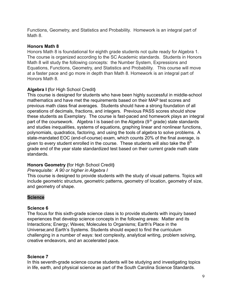Functions, Geometry, and Statistics and Probability. Homework is an integral part of Math 8.

## **Honors Math 8**

Honors Math 8 is foundational for eighth grade students not quite ready for Algebra 1. The course is organized according to the SC Academic standards. Students in Honors Math 8 will study the following concepts: the Number System, Expressions and Equations, Functions, Geometry, and Statistics and Probability. This course will move at a faster pace and go more in depth than Math 8. Homework is an integral part of Honors Math 8.

## **Algebra I (**for High School Credit**)**

This course is designed for students who have been highly successful in middle-school mathematics and have met the requirements based on their MAP test scores and previous math class final averages. Students should have a strong foundation of all operations of decimals, fractions, and integers. Previous PASS scores should show these students as Exemplary. The course is fast-paced and homework plays an integral part of the coursework. Algebra I is based on the Algebra  $(9<sup>th</sup>$  grade) state standards and studies inequalities, systems of equations, graphing linear and nonlinear functions, polynomials, quadratics, factoring, and using the tools of algebra to solve problems. A state-mandated EOC (end-of-course) exam, which counts 20% of the final average, is given to every student enrolled in the course. These students will also take the  $8<sup>th</sup>$ grade end of the year state standardized test based on their current grade math state standards.

## **Honors Geometry (**for High School Credit**)**

## *Prerequisite: A 90 or higher in Algebra I*

This course is designed to provide students with the study of visual patterns. Topics will include geometric structure, geometric patterns, geometry of location, geometry of size, and geometry of shape.

## **Science**

## **Science 6**

The focus for this sixth-grade science class is to provide students with inquiry based experiences that develop science concepts in the following areas: Matter and its Interactions; Energy; Waves; Molecules to Organisms; Earth's Place in the Universe;and Earth's Systems. Students should expect to find the curriculum challenging in a number of ways: text complexity, analytical writing, problem solving, creative endeavors, and an accelerated pace.

## **Science 7**

In this seventh-grade science course students will be studying and investigating topics in life, earth, and physical science as part of the South Carolina Science Standards.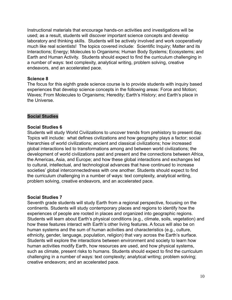Instructional materials that encourage hands-on activities and investigations will be used; as a result, students will discover important science concepts and develop laboratory and thinking skills. Students will be actively involved and work cooperatively much like real scientists! The topics covered include: Scientific Inquiry; Matter and its Interactions; Energy; Molecules to Organisms; Human Body Systems; Ecosystems; and Earth and Human Activity. Students should expect to find the curriculum challenging in a number of ways: text complexity, analytical writing, problem solving, creative endeavors, and an accelerated pace.

#### **Science 8**

The focus for this eighth grade science course is to provide students with inquiry based experiences that develop science concepts in the following areas: Force and Motion; Waves; From Molecules to Organisms; Heredity; Earth's History; and Earth's place in the Universe.

#### **Social Studies**

#### **Social Studies 6**

Students will study World Civilizations to uncover trends from prehistory to present day. Topics will include: what defines civilizations and how geography plays a factor; social hierarchies of world civilizations; ancient and classical civilizations; how increased global interactions led to transformations among and between world civilizations; the development of world civilizations past and present and the connections between Africa, the Americas, Asia, and Europe; and how these global interactions and exchanges led to cultural, intellectual, and technological advances that have continued to increase societies' global interconnectedness with one another. Students should expect to find the curriculum challenging in a number of ways: text complexity, analytical writing, problem solving, creative endeavors, and an accelerated pace.

#### **Social Studies 7**

Seventh grade students will study Earth from a regional perspective, focusing on the continents. Students will study contemporary places and regions to identify how the experiences of people are rooted in places and organized into geographic regions. Students will learn about Earth's physical conditions (e.g., climate, soils, vegetation) and how these features interact with Earth's other living features. A focus will also be on human systems and the sum of human activities and characteristics (e.g., culture, ethnicity, gender, language, population, religion) that vary across the Earth's surface. Students will explore the interactions between environment and society to learn how human activities modify Earth, how resources are used, and how physical systems, such as climate, present risks to humans. Students should expect to find the curriculum challenging in a number of ways: text complexity; analytical writing; problem solving; creative endeavors; and an accelerated pace.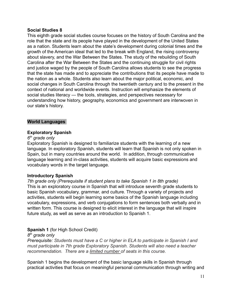#### **Social Studies 8**

This eighth grade social studies course focuses on the history of South Carolina and the role that the state and its people have played in the development of the United States as a nation. Students learn about the state's development during colonial times and the growth of the American ideal that led to the break with England, the rising controversy about slavery, and the War Between the States. The study of the rebuilding of South Carolina after the War Between the States and the continuing struggle for civil rights and justice waged by the people of South Carolina allows students to see the progress that the state has made and to appreciate the contributions that its people have made to the nation as a whole. Students also learn about the major political, economic, and social changes in South Carolina through the twentieth century and to the present in the context of national and worldwide events. Instruction will emphasize the elements of social studies literacy — the tools, strategies, and perspectives necessary for understanding how history, geography, economics and government are interwoven in our state's history.

#### **World Languages**

#### **Exploratory Spanish**

#### *6 th grade only*

Exploratory Spanish is designed to familiarize students with the learning of a new language. In exploratory Spanish, students will learn that Spanish is not only spoken in Spain, but in many countries around the world. In addition, through communicative language learning and in-class activities, students will acquire basic expressions and vocabulary words in the target language.

#### **Introductory Spanish**

*7th grade only (Prerequisite if student plans to take Spanish 1 in 8th grade)* This is an exploratory course in Spanish that will introduce seventh grade students to basic Spanish vocabulary, grammar, and culture. Through a variety of projects and activities, students will begin learning some basics of the Spanish language including vocabulary, expressions, and verb conjugations to form sentences both verbally and in written form. This course is designed to elicit interest in the language that will inspire future study, as well as serve as an introduction to Spanish 1.

## **Spanish 1** (for High School Credit)

*8 th grade only*

*Prerequisite: Students must have a C or higher in ELA to participate in Spanish I and must participate in 7th grade Exploratory Spanish. Students will also need a teacher recommendation. There are a limited number of seats in this course.*

Spanish 1 begins the development of the basic language skills in Spanish through practical activities that focus on meaningful personal communication through writing and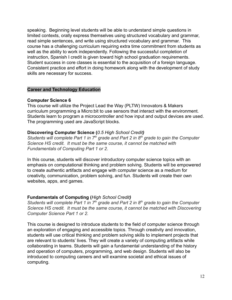speaking. Beginning level students will be able to understand simple questions in limited contexts, orally express themselves using structured vocabulary and grammar, read simple sentences, and write using structured vocabulary and grammar. This course has a challenging curriculum requiring extra time commitment from students as well as the ability to work independently. Following the successful completion of instruction, Spanish I credit is given toward high school graduation requirements. Student success in core classes is essential to the acquisition of a foreign language. Consistent practice and effort in doing homework along with the development of study skills are necessary for success.

#### **Career and Technology Education**

#### **Computer Science 6**

This course will utilize the Project Lead the Way (PLTW) Innovators & Makers curriculum programming a Micro:bit to use sensors that interact with the environment. Students learn to program a microcontroller and how input and output devices are used. The programming used are JavaScript blocks.

## **Discovering Computer Science (***0.5 High School Credit)*

*Students will complete Part 1 in 7th grade and Part 2 in 8th grade to gain the Computer Science HS credit. It must be the same course, it cannot be matched with Fundamentals of Computing Part 1 or 2.*

In this course, students will discover introductory computer science topics with an emphasis on computational thinking and problem solving. Students will be empowered to create authentic artifacts and engage with computer science as a medium for creativity, communication, problem solving, and fun. Students will create their own websites, apps, and games.

## **Fundamentals of Computing (***High School Credit)*

*Students will complete Part 1 in 7th grade and Part 2 in 8th grade to gain the Computer Science HS credit. It must be the same course, it cannot be matched with Discovering Computer Science Part 1 or 2.*

This course is designed to introduce students to the field of computer science through an exploration of engaging and accessible topics. Through creativity and innovation, students will use critical thinking and problem solving skills to implement projects that are relevant to students' lives. They will create a variety of computing artifacts while collaborating in teams. Students will gain a fundamental understanding of the history and operation of computers, programming, and web design. Students will also be introduced to computing careers and will examine societal and ethical issues of computing.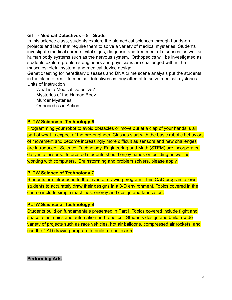## **GTT - Medical Detectives – 8th Grade**

In this science class, students explore the biomedical sciences through hands-on projects and labs that require them to solve a variety of medical mysteries. Students investigate medical careers, vital signs, diagnosis and treatment of diseases, as well as human body systems such as the nervous system. Orthopedics will be investigated as students explore problems engineers and physicians are challenged with in the musculoskeletal system, and medical device design.

Genetic testing for hereditary diseases and DNA crime scene analysis put the students in the place of real life medical detectives as they attempt to solve medical mysteries. Units of Instruction

- What is a Medical Detective?
- · Mysteries of the Human Body
- **Murder Mysteries**
- Orthopedics in Action

#### **PLTW Science of Technology 6**

Programming your robot to avoid obstacles or move out at a clap of your hands is all part of what to expect of the pre-engineer. Classes start with the basic robotic behaviors of movement and become increasingly more difficult as sensors and new challenges are introduced. Science, Technology, Engineering and Math (STEM) are incorporated daily into lessons. Interested students should enjoy hands-on building as well as working with computers. Brainstorming and problem solvers, please apply.

#### **PLTW Science of Technology 7**

Students are introduced to the Inventor drawing program. This CAD program allows students to accurately draw their designs in a 3-D environment. Topics covered in the course include simple machines, energy and design and fabrication.

#### **PLTW Science of Technology 8**

Students build on fundamentals presented in Part I. Topics covered include flight and space, electronics and automation and robotics. Students design and build a wide variety of projects such as race vehicles, hot air balloons, compressed air rockets, and use the CAD drawing program to build a robotic arm.

#### **Performing Arts**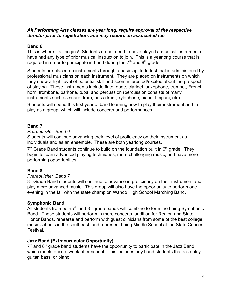#### *All Performing Arts classes are year long, require approval of the respective director prior to registration, and may require an associated fee.*

## **Band 6**

This is where it all begins! Students do not need to have played a musical instrument or have had any type of prior musical instruction to join. This is a yearlong course that is required in order to participate in band during the  $7<sup>th</sup>$  and  $8<sup>th</sup>$  grade.

Students are placed on instruments through a basic aptitude test that is administered by professional musicians on each instrument. They are placed on instruments on which they show a high level of potential skill and seem interested/excited about the prospect of playing. These instruments include flute, oboe, clarinet, saxophone, trumpet, French horn, trombone, baritone, tuba, and percussion (percussion consists of many instruments such as snare drum, bass drum, xylophone, piano, timpani, etc).

Students will spend this first year of band learning how to play their instrument and to play as a group, which will include concerts and performances.

## **Band 7**

## *Prerequisite: Band 6*

Students will continue advancing their level of proficiency on their instrument as individuals and as an ensemble. These are both yearlong courses.

 $7<sup>th</sup>$  Grade Band students continue to build on the foundation built in  $6<sup>th</sup>$  grade. They begin to learn advanced playing techniques, more challenging music, and have more performing opportunities.

## **Band 8**

## *Prerequisite: Band 7*

8<sup>th</sup> Grade Band students will continue to advance in proficiency on their instrument and play more advanced music. This group will also have the opportunity to perform one evening in the fall with the state champion Wando High School Marching Band.

## **Symphonic Band**

All students from both  $7<sup>th</sup>$  and  $8<sup>th</sup>$  grade bands will combine to form the Laing Symphonic Band. These students will perform in more concerts, audition for Region and State Honor Bands, rehearse and perform with guest clinicians from some of the best college music schools in the southeast, and represent Laing Middle School at the State Concert **Festival** 

## **Jazz Band (Extracurricular Opportunity)**

 $7<sup>th</sup>$  and  $8<sup>th</sup>$  grade band students have the opportunity to participate in the Jazz Band, which meets once a week after school. This includes any band students that also play guitar, bass, or piano.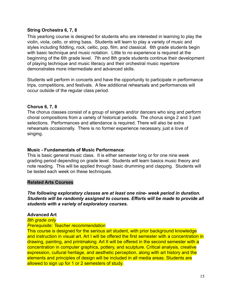## **String Orchestra 6, 7, 8**

This yearlong course is designed for students who are interested in learning to play the violin, viola, cello, or string bass. Students will learn to play a variety of music and styles including fiddling, rock, celtic, pop, film, and classical. 6th grade students begin with basic technique and music notation. Little to no experience is required at the beginning of the 6th grade level. 7th and 8th grade students continue their development of playing technique and music literacy and their orchestral music repertoire demonstrates more intermediate and advanced skills.

Students will perform in concerts and have the opportunity to participate in performance trips, competitions, and festivals. A few additional rehearsals and performances will occur outside of the regular class period.

#### **Chorus 6, 7, 8**

The chorus classes consist of a group of singers and/or dancers who sing and perform choral compositions from a variety of historical periods. The chorus sings 2 and 3 part selections. Performances and attendance is required. There will also be extra rehearsals occasionally. There is no former experience necessary, just a love of singing.

#### **Music - Fundamentals of Music Performance**:

This is basic general music class. It is either semester long or for one nine week grading period depending on grade level. Students will learn basics music theory and note reading. This will be applied through basic drumming and clapping. Students will be tested each week on these techniques.

#### **Related Arts Courses**

*The following exploratory classes are at least one nine- week period in duration. Students will be randomly assigned to courses. Efforts will be made to provide all students with a variety of exploratory courses.*

#### **Advanced Art**

*8th grade only Prerequisite: Teacher recommendation*

# This course is designed for the serious art student, with prior background knowledge

and instruction in visual art. Art I will be offered the first semester with a concentration in drawing, painting, and printmaking. Art II will be offered in the second semester with a concentration in computer graphics, pottery, and sculpture. Critical analysis, creative expression, cultural heritage, and aesthetic perception, along with art history and the elements and principles of design will be included in all media areas. Students are allowed to sign up for 1 or 2 semesters of study.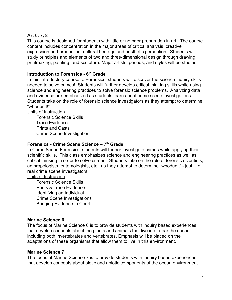## **Art 6, 7, 8**

This course is designed for students with little or no prior preparation in art. The course content includes concentration in the major areas of critical analysis, creative expression and production, cultural heritage and aesthetic perception. Students will study principles and elements of two and three-dimensional design through drawing, printmaking, painting, and sculpture. Major artists, periods, and styles will be studied.

## **Introduction to Forensics - 6th Grade**

In this introductory course to Forensics, students will discover the science inquiry skills needed to solve crimes! Students will further develop critical thinking skills while using science and engineering practices to solve forensic science problems. Analyzing data and evidence are emphasized as students learn about crime scene investigations. Students take on the role of forensic science investigators as they attempt to determine "whodunit!"

Units of Instruction

- Forensic Science Skills
- · Trace Evidence
- Prints and Casts
- Crime Scene Investigation

## **Forensics - Crime Scene Science – 7th Grade**

In Crime Scene Forensics, students will further investigate crimes while applying their scientific skills. This class emphasizes science and engineering practices as well as critical thinking in order to solve crimes. Students take on the role of forensic scientists, anthropologists, entomologists, etc., as they attempt to determine "whodunit" - just like real crime scene investigators!

Units of Instruction

- · Forensic Science Skills
- Prints & Trace Evidence
- · Identifying an Individual
- · Crime Scene Investigations
- Bringing Evidence to Court

#### **Marine Science 6**

The focus of Marine Science 6 is to provide students with inquiry based experiences that develop concepts about the plants and animals that live in or near the ocean, including both invertebrates and vertebrates. Emphasis will be placed on the adaptations of these organisms that allow them to live in this environment.

#### **Marine Science 7**

The focus of Marine Science 7 is to provide students with inquiry based experiences that develop concepts about biotic and abiotic components of the ocean environment.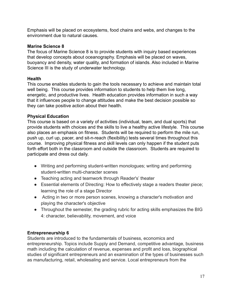Emphasis will be placed on ecosystems, food chains and webs, and changes to the environment due to natural causes.

## **Marine Science 8**

The focus of Marine Science 8 is to provide students with inquiry based experiences that develop concepts about oceanography. Emphasis will be placed on waves, buoyancy and density, water quality, and formation of islands. Also included in Marine Science III is the study of underwater technology.

## **Health**

This course enables students to gain the tools necessary to achieve and maintain total well being. This course provides information to students to help them live long, energetic, and productive lives. Health education provides information in such a way that it influences people to change attitudes and make the best decision possible so they can take positive action about their health.

## **Physical Education**

This course is based on a variety of activities (individual, team, and dual sports) that provide students with choices and the skills to live a healthy active lifestyle. This course also places an emphasis on fitness. Students will be required to perform the mile run, push up, curl up, pacer, and sit-n-reach (flexibility) tests several times throughout this course. Improving physical fitness and skill levels can only happen if the student puts forth effort both in the classroom and outside the classroom. Students are required to participate and dress out daily.

- Writing and performing student-written monologues; writing and performing student-written multi-character scenes
- Teaching acting and teamwork through Reader's' theater
- Essential elements of Directing: How to effectively stage a readers theater piece; learning the role of a stage Director
- Acting in two or more person scenes, knowing a character's motivation and playing the character's objective
- Throughout the semester, the grading rubric for acting skills emphasizes the BIG 4: character, believability, movement, and voice

## **Entrepreneurship 6**

Students are introduced to the fundamentals of business, economics and entrepreneurship. Topics include Supply and Demand, competitive advantage, business math including the calculation of revenue, expenses and profit and loss, biographical studies of significant entrepreneurs and an examination of the types of businesses such as manufacturing, retail, wholesaling and service. Local entrepreneurs from the